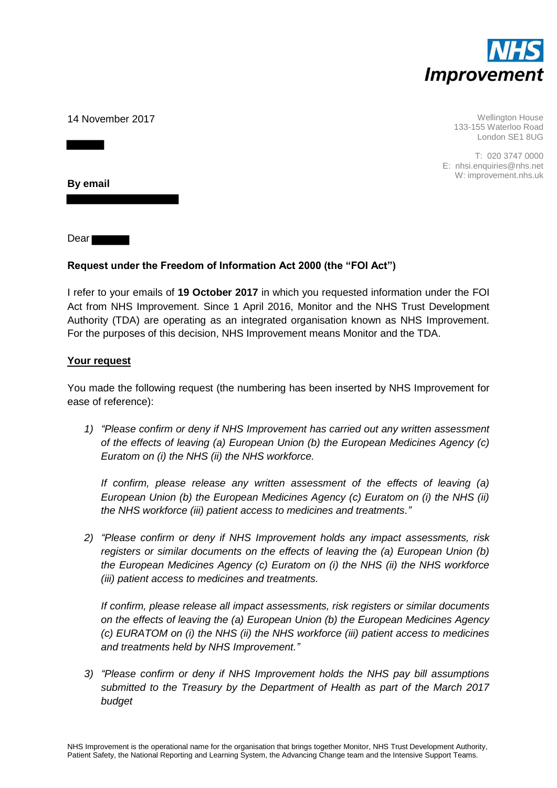

14 November 2017

Wellington House 133-155 Waterloo Road London SE1 8UG

T: 020 3747 0000 E: nhsi.enquiries@nhs.net W: improvement.nhs.uk

**By email** 

Dear

# **Request under the Freedom of Information Act 2000 (the "FOI Act")**

I refer to your emails of **19 October 2017** in which you requested information under the FOI Act from NHS Improvement. Since 1 April 2016, Monitor and the NHS Trust Development Authority (TDA) are operating as an integrated organisation known as NHS Improvement. For the purposes of this decision, NHS Improvement means Monitor and the TDA.

# **Your request**

You made the following request (the numbering has been inserted by NHS Improvement for ease of reference):

*1) "Please confirm or deny if NHS Improvement has carried out any written assessment of the effects of leaving (a) European Union (b) the European Medicines Agency (c) Euratom on (i) the NHS (ii) the NHS workforce.* 

*If confirm, please release any written assessment of the effects of leaving (a) European Union (b) the European Medicines Agency (c) Euratom on (i) the NHS (ii) the NHS workforce (iii) patient access to medicines and treatments."*

*2) "Please confirm or deny if NHS Improvement holds any impact assessments, risk registers or similar documents on the effects of leaving the (a) European Union (b) the European Medicines Agency (c) Euratom on (i) the NHS (ii) the NHS workforce (iii) patient access to medicines and treatments.* 

*If confirm, please release all impact assessments, risk registers or similar documents on the effects of leaving the (a) European Union (b) the European Medicines Agency (c) EURATOM on (i) the NHS (ii) the NHS workforce (iii) patient access to medicines and treatments held by NHS Improvement."*

*3) "Please confirm or deny if NHS Improvement holds the NHS pay bill assumptions submitted to the Treasury by the Department of Health as part of the March 2017 budget*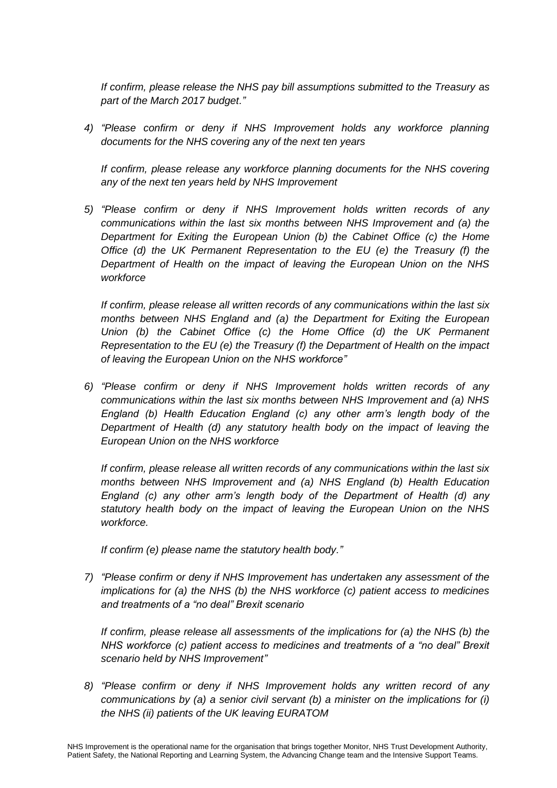*If confirm, please release the NHS pay bill assumptions submitted to the Treasury as part of the March 2017 budget."*

*4) "Please confirm or deny if NHS Improvement holds any workforce planning documents for the NHS covering any of the next ten years*

*If confirm, please release any workforce planning documents for the NHS covering any of the next ten years held by NHS Improvement*

*5) "Please confirm or deny if NHS Improvement holds written records of any communications within the last six months between NHS Improvement and (a) the Department for Exiting the European Union (b) the Cabinet Office (c) the Home Office (d) the UK Permanent Representation to the EU (e) the Treasury (f) the Department of Health on the impact of leaving the European Union on the NHS workforce* 

*If confirm, please release all written records of any communications within the last six months between NHS England and (a) the Department for Exiting the European Union (b) the Cabinet Office (c) the Home Office (d) the UK Permanent Representation to the EU (e) the Treasury (f) the Department of Health on the impact of leaving the European Union on the NHS workforce"*

*6) "Please confirm or deny if NHS Improvement holds written records of any communications within the last six months between NHS Improvement and (a) NHS England (b) Health Education England (c) any other arm's length body of the Department of Health (d) any statutory health body on the impact of leaving the European Union on the NHS workforce* 

*If confirm, please release all written records of any communications within the last six months between NHS Improvement and (a) NHS England (b) Health Education England (c) any other arm's length body of the Department of Health (d) any statutory health body on the impact of leaving the European Union on the NHS workforce.*

*If confirm (e) please name the statutory health body."*

*7) "Please confirm or deny if NHS Improvement has undertaken any assessment of the implications for (a) the NHS (b) the NHS workforce (c) patient access to medicines and treatments of a "no deal" Brexit scenario*

*If confirm, please release all assessments of the implications for (a) the NHS (b) the NHS workforce (c) patient access to medicines and treatments of a "no deal" Brexit scenario held by NHS Improvement"*

*8) "Please confirm or deny if NHS Improvement holds any written record of any communications by (a) a senior civil servant (b) a minister on the implications for (i) the NHS (ii) patients of the UK leaving EURATOM*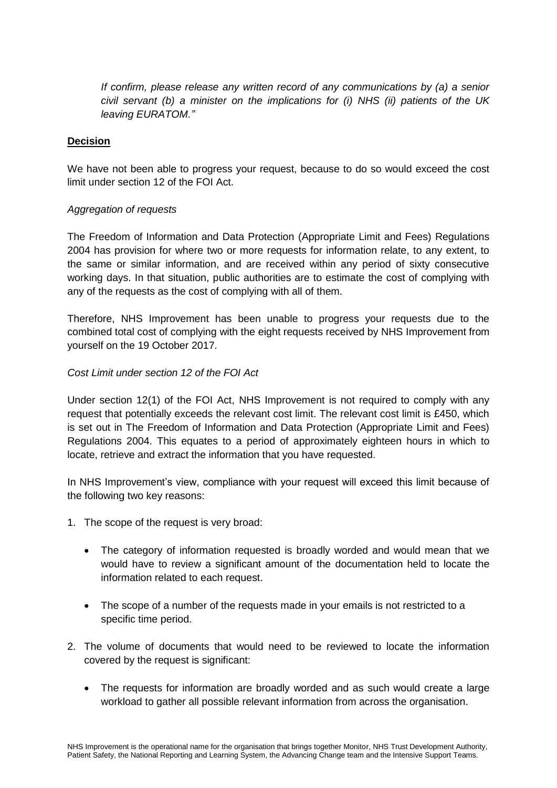*If confirm, please release any written record of any communications by (a) a senior civil servant (b) a minister on the implications for (i) NHS (ii) patients of the UK leaving EURATOM."*

#### **Decision**

We have not been able to progress your request, because to do so would exceed the cost limit under section 12 of the FOI Act.

# *Aggregation of requests*

The Freedom of Information and Data Protection (Appropriate Limit and Fees) Regulations 2004 has provision for where two or more requests for information relate, to any extent, to the same or similar information, and are received within any period of sixty consecutive working days. In that situation, public authorities are to estimate the cost of complying with any of the requests as the cost of complying with all of them.

Therefore, NHS Improvement has been unable to progress your requests due to the combined total cost of complying with the eight requests received by NHS Improvement from yourself on the 19 October 2017.

# *Cost Limit under section 12 of the FOI Act*

Under section 12(1) of the FOI Act, NHS Improvement is not required to comply with any request that potentially exceeds the relevant cost limit. The relevant cost limit is £450, which is set out in The Freedom of Information and Data Protection (Appropriate Limit and Fees) Regulations 2004. This equates to a period of approximately eighteen hours in which to locate, retrieve and extract the information that you have requested.

In NHS Improvement's view, compliance with your request will exceed this limit because of the following two key reasons:

- 1. The scope of the request is very broad:
	- The category of information requested is broadly worded and would mean that we would have to review a significant amount of the documentation held to locate the information related to each request.
	- The scope of a number of the requests made in your emails is not restricted to a specific time period.
- 2. The volume of documents that would need to be reviewed to locate the information covered by the request is significant:
	- The requests for information are broadly worded and as such would create a large workload to gather all possible relevant information from across the organisation.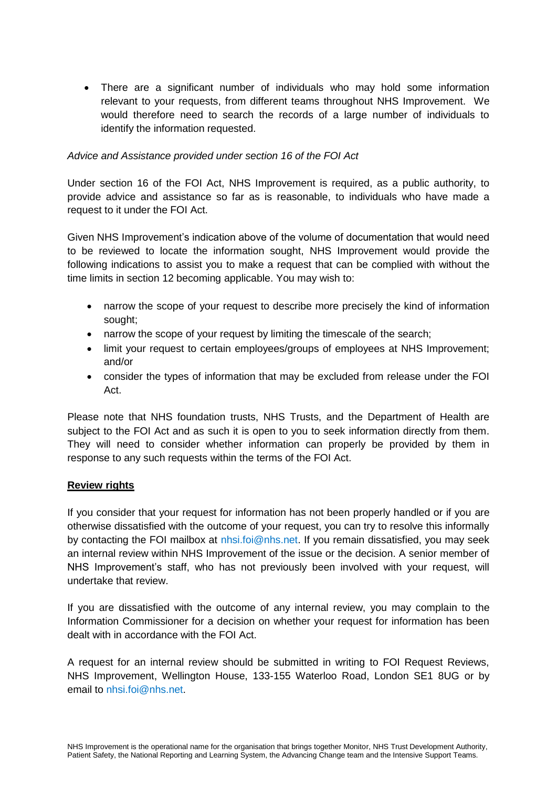There are a significant number of individuals who may hold some information relevant to your requests, from different teams throughout NHS Improvement. We would therefore need to search the records of a large number of individuals to identify the information requested.

#### *Advice and Assistance provided under section 16 of the FOI Act*

Under section 16 of the FOI Act, NHS Improvement is required, as a public authority, to provide advice and assistance so far as is reasonable, to individuals who have made a request to it under the FOI Act.

Given NHS Improvement's indication above of the volume of documentation that would need to be reviewed to locate the information sought, NHS Improvement would provide the following indications to assist you to make a request that can be complied with without the time limits in section 12 becoming applicable. You may wish to:

- narrow the scope of your request to describe more precisely the kind of information sought;
- narrow the scope of your request by limiting the timescale of the search:
- limit your request to certain employees/groups of employees at NHS Improvement; and/or
- consider the types of information that may be excluded from release under the FOI Act.

Please note that NHS foundation trusts, NHS Trusts, and the Department of Health are subject to the FOI Act and as such it is open to you to seek information directly from them. They will need to consider whether information can properly be provided by them in response to any such requests within the terms of the FOI Act.

#### **Review rights**

If you consider that your request for information has not been properly handled or if you are otherwise dissatisfied with the outcome of your request, you can try to resolve this informally by contacting the FOI mailbox at [nhsi.foi@nhs.net.](mailto:nhsi.foi@nhs.net) If you remain dissatisfied, you may seek an internal review within NHS Improvement of the issue or the decision. A senior member of NHS Improvement's staff, who has not previously been involved with your request, will undertake that review.

If you are dissatisfied with the outcome of any internal review, you may complain to the Information Commissioner for a decision on whether your request for information has been dealt with in accordance with the FOI Act.

A request for an internal review should be submitted in writing to FOI Request Reviews, NHS Improvement, Wellington House, 133-155 Waterloo Road, London SE1 8UG or by email to [nhsi.foi@nhs.net.](mailto:nhsi.foi@nhs.net)